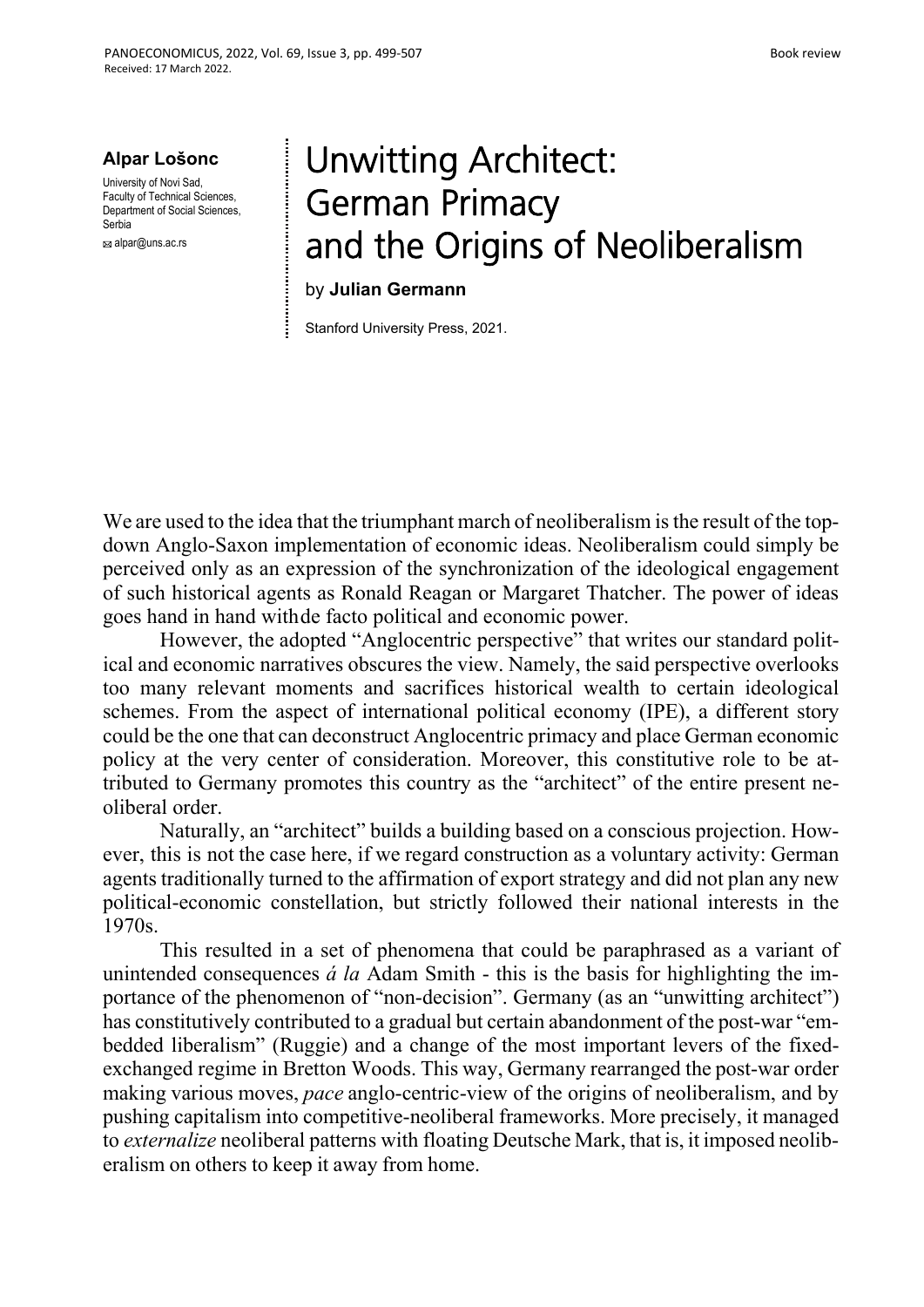**Alpar Lošonc**

University of Novi Sad, Faculty of Technical Sciences, Department of Social Sciences Serbia

alpar@uns.ac.rs

## Unwitting Architect: German Primacy and the Origins of Neoliberalism

## by **Julian Germann**

Stanford University Press, 2021.

We are used to the idea that the triumphant march of neoliberalism is the result of the topdown Anglo-Saxon implementation of economic ideas. Neoliberalism could simply be perceived only as an expression of the synchronization of the ideological engagement of such historical agents as Ronald Reagan or Margaret Thatcher. The power of ideas goes hand in hand with de facto political and economic power.

However, the adopted "Anglocentric perspective" that writes our standard political and economic narratives obscures the view. Namely, the said perspective overlooks too many relevant moments and sacrifices historical wealth to certain ideological schemes. From the aspect of international political economy (IPE), a different story could be the one that can deconstruct Anglocentric primacy and place German economic policy at the very center of consideration. Moreover, this constitutive role to be attributed to Germany promotes this country as the "architect" of the entire present neoliberal order.

Naturally, an "architect" builds a building based on a conscious projection. However, this is not the case here, if we regard construction as a voluntary activity: German agents traditionally turned to the affirmation of export strategy and did not plan any new political-economic constellation, but strictly followed their national interests in the 1970s.

This resulted in a set of phenomena that could be paraphrased as a variant of unintended consequences *á la* Adam Smith - this is the basis for highlighting the importance of the phenomenon of "non-decision". Germany (as an "unwitting architect") has constitutively contributed to a gradual but certain abandonment of the post-war "embedded liberalism" (Ruggie) and a change of the most important levers of the fixedexchanged regime in Bretton Woods. This way, Germany rearranged the post-war order making various moves, *pace* anglo-centric-view of the origins of neoliberalism, and by pushing capitalism into competitive-neoliberal frameworks. More precisely, it managed to *externalize* neoliberal patterns with floating Deutsche Mark, that is, it imposed neoliberalism on others to keep it away from home.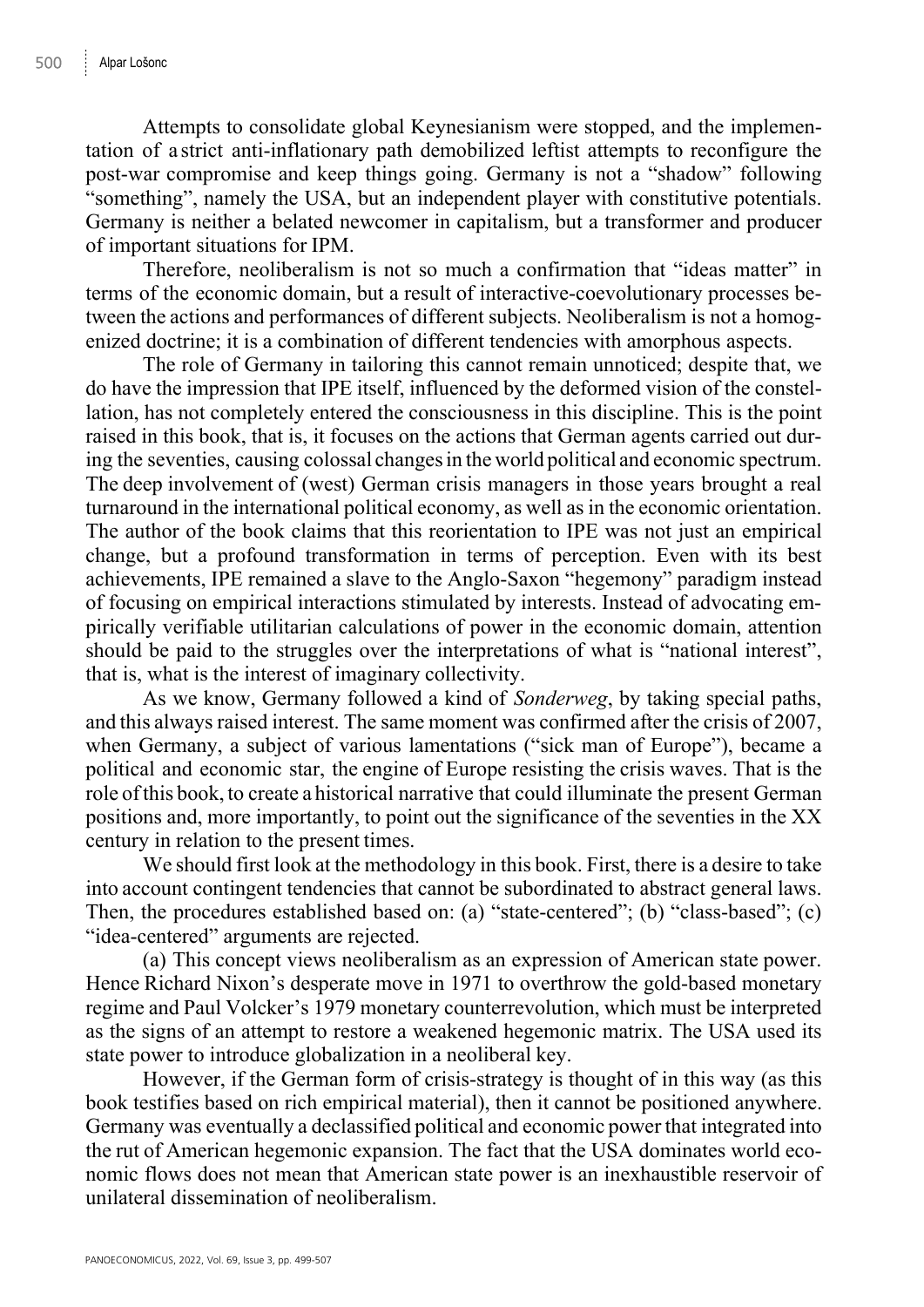Attempts to consolidate global Keynesianism were stopped, and the implementation of a strict anti-inflationary path demobilized leftist attempts to reconfigure the post-war compromise and keep things going. Germany is not a "shadow" following "something", namely the USA, but an independent player with constitutive potentials. Germany is neither a belated newcomer in capitalism, but a transformer and producer of important situations for IPM.

Therefore, neoliberalism is not so much a confirmation that "ideas matter" in terms of the economic domain, but a result of interactive-coevolutionary processes between the actions and performances of different subjects. Neoliberalism is not a homogenized doctrine; it is a combination of different tendencies with amorphous aspects.

The role of Germany in tailoring this cannot remain unnoticed; despite that, we do have the impression that IPE itself, influenced by the deformed vision of the constellation, has not completely entered the consciousness in this discipline. This is the point raised in this book, that is, it focuses on the actions that German agents carried out during the seventies, causing colossal changes in the world political and economic spectrum. The deep involvement of (west) German crisis managers in those years brought a real turnaround in the international political economy, as well as in the economic orientation. The author of the book claims that this reorientation to IPE was not just an empirical change, but a profound transformation in terms of perception. Even with its best achievements, IPE remained a slave to the Anglo-Saxon "hegemony" paradigm instead of focusing on empirical interactions stimulated by interests. Instead of advocating empirically verifiable utilitarian calculations of power in the economic domain, attention should be paid to the struggles over the interpretations of what is "national interest", that is, what is the interest of imaginary collectivity.

As we know, Germany followed a kind of *Sonderweg*, by taking special paths, and this always raised interest. The same moment was confirmed after the crisis of 2007, when Germany, a subject of various lamentations ("sick man of Europe"), became a political and economic star, the engine of Europe resisting the crisis waves. That is the role of this book, to create a historical narrative that could illuminate the present German positions and, more importantly, to point out the significance of the seventies in the XX century in relation to the present times.

We should first look at the methodology in this book. First, there is a desire to take into account contingent tendencies that cannot be subordinated to abstract general laws. Then, the procedures established based on: (a) "state-centered"; (b) "class-based"; (c) "idea-centered" arguments are rejected.

(a) This concept views neoliberalism as an expression of American state power. Hence Richard Nixon's desperate move in 1971 to overthrow the gold-based monetary regime and Paul Volcker's 1979 monetary counterrevolution, which must be interpreted as the signs of an attempt to restore a weakened hegemonic matrix. The USA used its state power to introduce globalization in a neoliberal key.

However, if the German form of crisis-strategy is thought of in this way (as this book testifies based on rich empirical material), then it cannot be positioned anywhere. Germany was eventually a declassified political and economic power that integrated into the rut of American hegemonic expansion. The fact that the USA dominates world economic flows does not mean that American state power is an inexhaustible reservoir of unilateral dissemination of neoliberalism.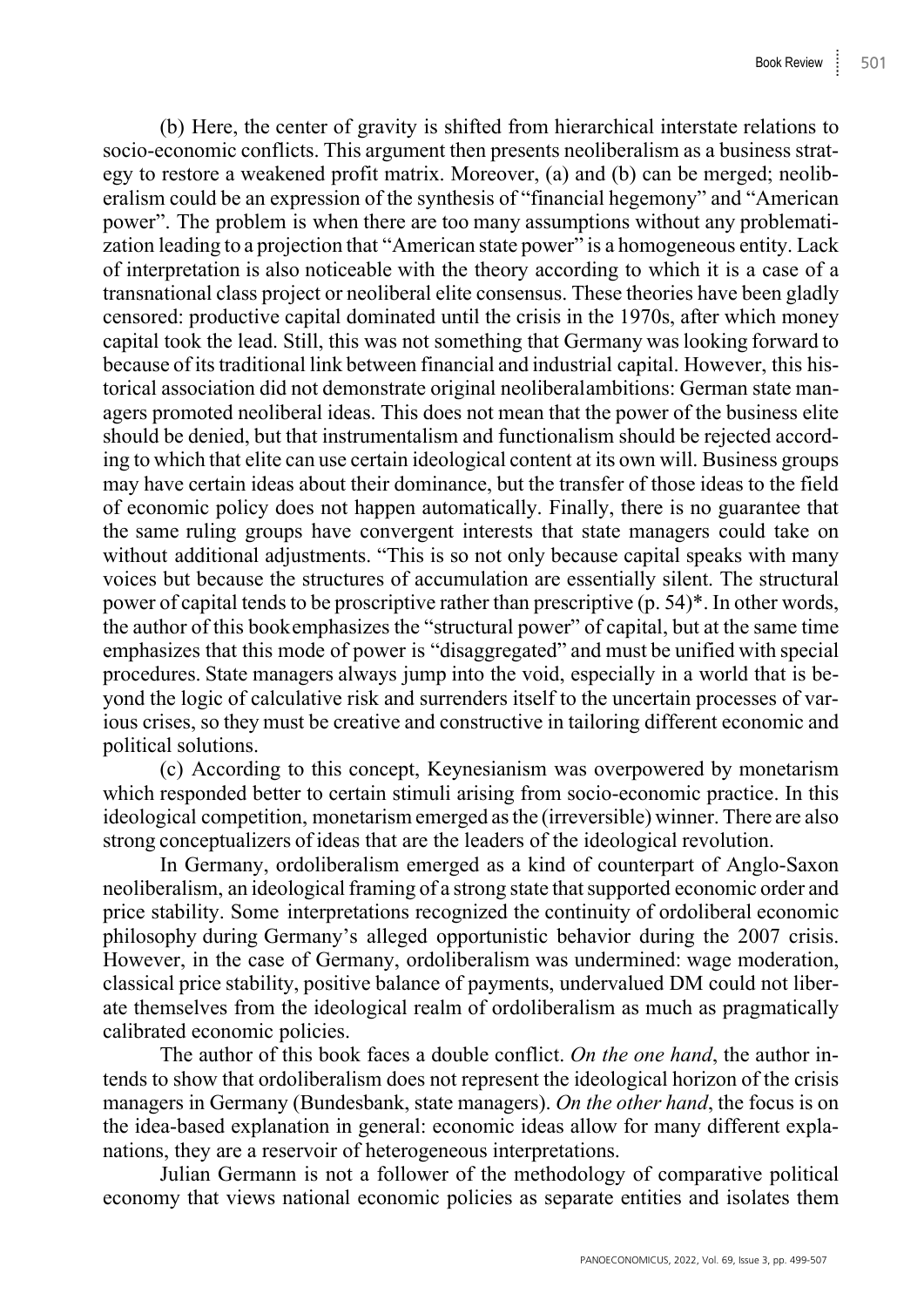(b) Here, the center of gravity is shifted from hierarchical interstate relations to socio-economic conflicts. This argument then presents neoliberalism as a business strategy to restore a weakened profit matrix. Moreover, (a) and (b) can be merged; neoliberalism could be an expression of the synthesis of "financial hegemony" and "American power". The problem is when there are too many assumptions without any problematization leading to a projection that "American state power" is a homogeneous entity. Lack of interpretation is also noticeable with the theory according to which it is a case of a transnational class project or neoliberal elite consensus. These theories have been gladly censored: productive capital dominated until the crisis in the 1970s, after which money capital took the lead. Still, this was not something that Germany was looking forward to because of its traditional link between financial and industrial capital. However, this historical association did not demonstrate original neoliberal ambitions: German state managers promoted neoliberal ideas. This does not mean that the power of the business elite should be denied, but that instrumentalism and functionalism should be rejected according to which that elite can use certain ideological content at its own will. Business groups may have certain ideas about their dominance, but the transfer of those ideas to the field of economic policy does not happen automatically. Finally, there is no guarantee that the same ruling groups have convergent interests that state managers could take on without additional adjustments. "This is so not only because capital speaks with many voices but because the structures of accumulation are essentially silent. The structural power of capital tends to be proscriptive rather than prescriptive (p. 54)\*. In other words, the author of this book emphasizes the "structural power" of capital, but at the same time emphasizes that this mode of power is "disaggregated" and must be unified with special procedures. State managers always jump into the void, especially in a world that is beyond the logic of calculative risk and surrenders itself to the uncertain processes of various crises, so they must be creative and constructive in tailoring different economic and political solutions.

(c) According to this concept, Keynesianism was overpowered by monetarism which responded better to certain stimuli arising from socio-economic practice. In this ideological competition, monetarism emerged as the (irreversible) winner. There are also strong conceptualizers of ideas that are the leaders of the ideological revolution.

In Germany, ordoliberalism emerged as a kind of counterpart of Anglo-Saxon neoliberalism, an ideological framing of a strong state that supported economic order and price stability. Some interpretations recognized the continuity of ordoliberal economic philosophy during Germany's alleged opportunistic behavior during the 2007 crisis. However, in the case of Germany, ordoliberalism was undermined: wage moderation, classical price stability, positive balance of payments, undervalued DM could not liberate themselves from the ideological realm of ordoliberalism as much as pragmatically calibrated economic policies.

The author of this book faces a double conflict. *On the one hand*, the author intends to show that ordoliberalism does not represent the ideological horizon of the crisis managers in Germany (Bundesbank, state managers). *On the other hand*, the focus is on the idea-based explanation in general: economic ideas allow for many different explanations, they are a reservoir of heterogeneous interpretations.

Julian Germann is not a follower of the methodology of comparative political economy that views national economic policies as separate entities and isolates them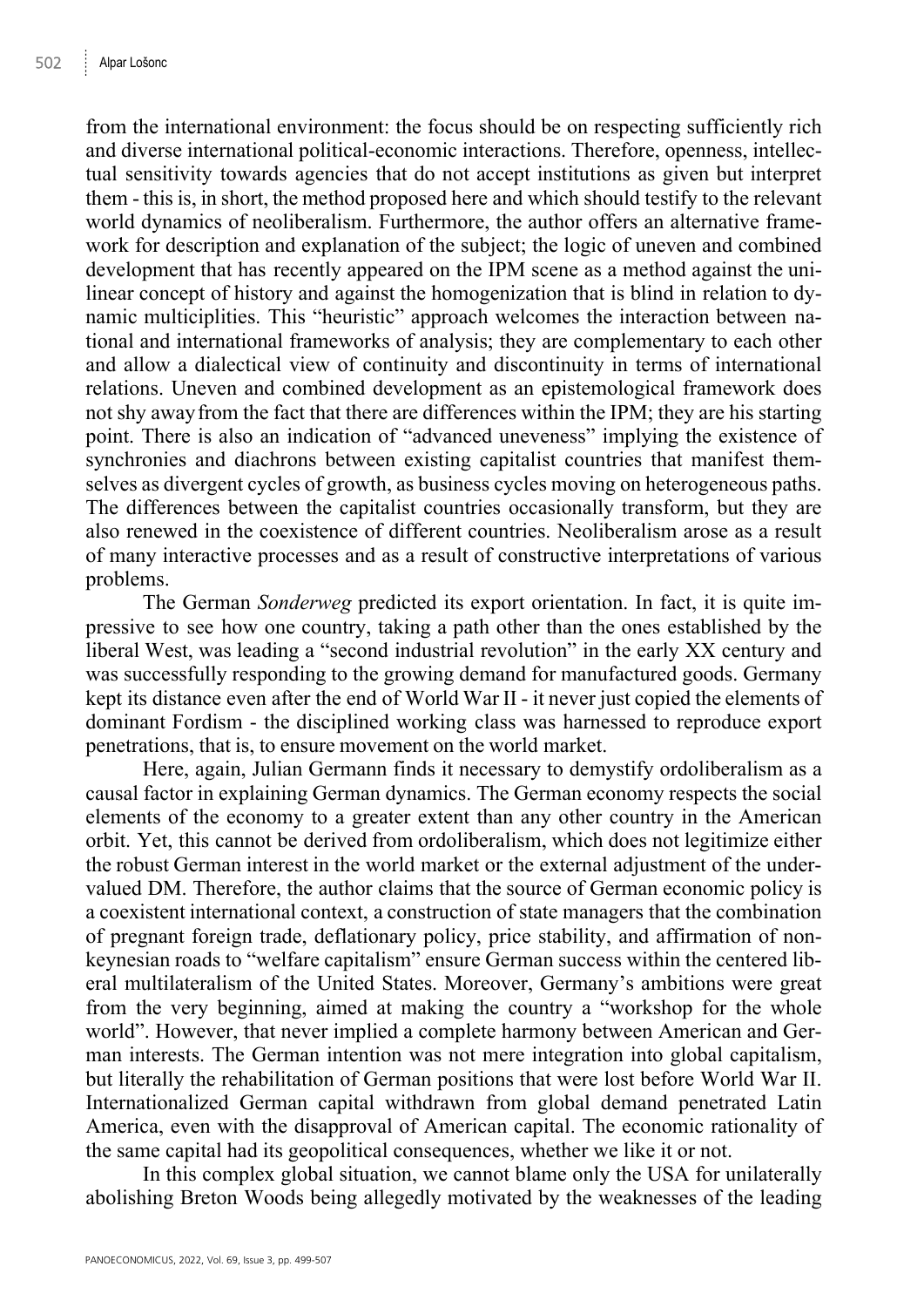from the international environment: the focus should be on respecting sufficiently rich and diverse international political-economic interactions. Therefore, openness, intellectual sensitivity towards agencies that do not accept institutions as given but interpret them - this is, in short, the method proposed here and which should testify to the relevant world dynamics of neoliberalism. Furthermore, the author offers an alternative framework for description and explanation of the subject; the logic of uneven and combined development that has recently appeared on the IPM scene as a method against the unilinear concept of history and against the homogenization that is blind in relation to dynamic multiciplities. This "heuristic" approach welcomes the interaction between national and international frameworks of analysis; they are complementary to each other and allow a dialectical view of continuity and discontinuity in terms of international relations. Uneven and combined development as an epistemological framework does not shy away from the fact that there are differences within the IPM; they are his starting point. There is also an indication of "advanced uneveness" implying the existence of synchronies and diachrons between existing capitalist countries that manifest themselves as divergent cycles of growth, as business cycles moving on heterogeneous paths. The differences between the capitalist countries occasionally transform, but they are also renewed in the coexistence of different countries. Neoliberalism arose as a result of many interactive processes and as a result of constructive interpretations of various problems.

The German *Sonderweg* predicted its export orientation. In fact, it is quite impressive to see how one country, taking a path other than the ones established by the liberal West, was leading a "second industrial revolution" in the early XX century and was successfully responding to the growing demand for manufactured goods. Germany kept its distance even after the end of World War II - it never just copied the elements of dominant Fordism - the disciplined working class was harnessed to reproduce export penetrations, that is, to ensure movement on the world market.

Here, again, Julian Germann finds it necessary to demystify ordoliberalism as a causal factor in explaining German dynamics. The German economy respects the social elements of the economy to a greater extent than any other country in the American orbit. Yet, this cannot be derived from ordoliberalism, which does not legitimize either the robust German interest in the world market or the external adjustment of the undervalued DM. Therefore, the author claims that the source of German economic policy is a coexistent international context, a construction of state managers that the combination of pregnant foreign trade, deflationary policy, price stability, and affirmation of nonkeynesian roads to "welfare capitalism" ensure German success within the centered liberal multilateralism of the United States. Moreover, Germany's ambitions were great from the very beginning, aimed at making the country a "workshop for the whole world". However, that never implied a complete harmony between American and German interests. The German intention was not mere integration into global capitalism, but literally the rehabilitation of German positions that were lost before World War II. Internationalized German capital withdrawn from global demand penetrated Latin America, even with the disapproval of American capital. The economic rationality of the same capital had its geopolitical consequences, whether we like it or not.

In this complex global situation, we cannot blame only the USA for unilaterally abolishing Breton Woods being allegedly motivated by the weaknesses of the leading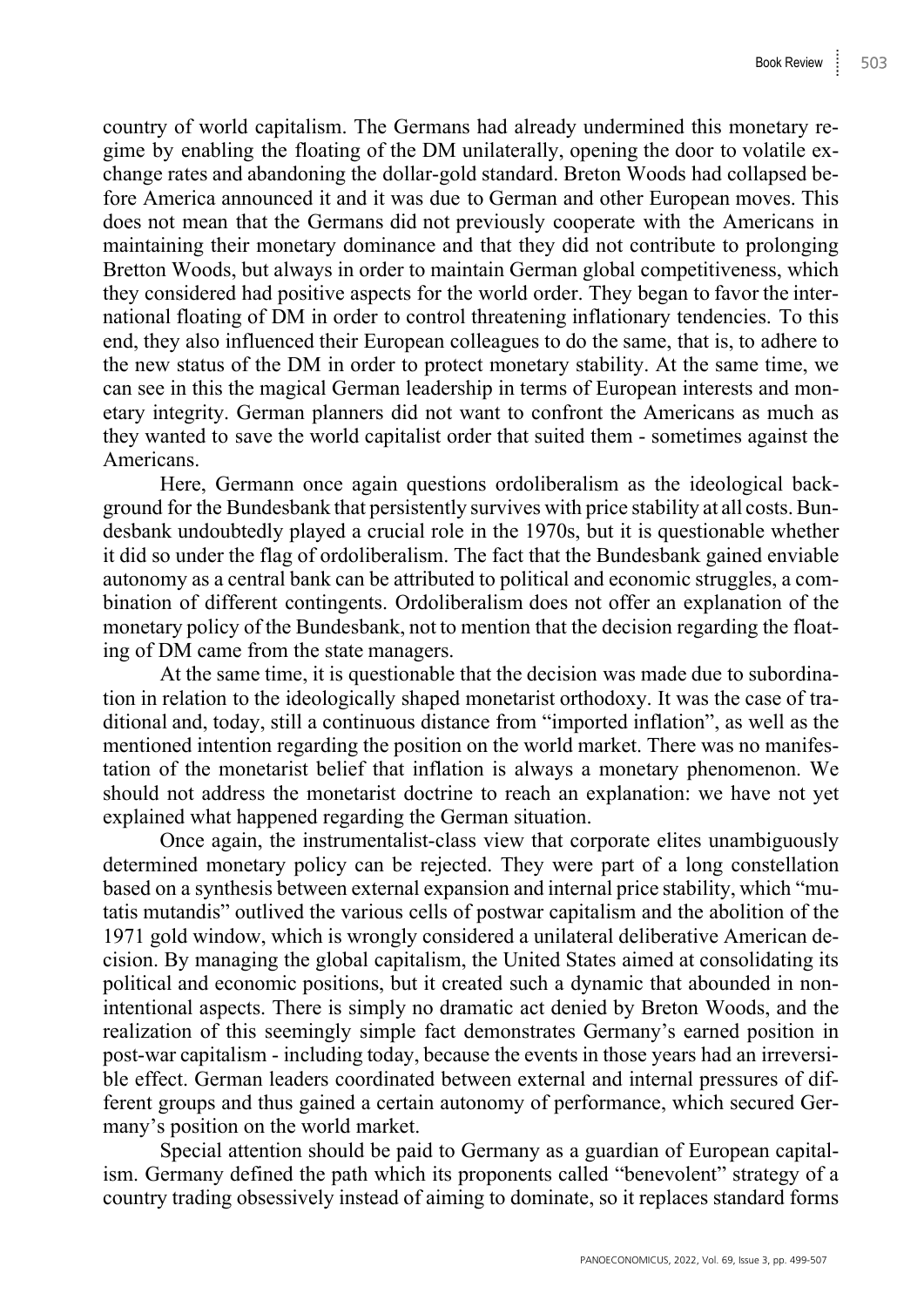country of world capitalism. The Germans had already undermined this monetary regime by enabling the floating of the DM unilaterally, opening the door to volatile exchange rates and abandoning the dollar-gold standard. Breton Woods had collapsed before America announced it and it was due to German and other European moves. This does not mean that the Germans did not previously cooperate with the Americans in maintaining their monetary dominance and that they did not contribute to prolonging Bretton Woods, but always in order to maintain German global competitiveness, which they considered had positive aspects for the world order. They began to favor the international floating of DM in order to control threatening inflationary tendencies. To this end, they also influenced their European colleagues to do the same, that is, to adhere to the new status of the DM in order to protect monetary stability. At the same time, we can see in this the magical German leadership in terms of European interests and monetary integrity. German planners did not want to confront the Americans as much as they wanted to save the world capitalist order that suited them - sometimes against the Americans.

Here, Germann once again questions ordoliberalism as the ideological background for the Bundesbank that persistently survives with price stability at all costs. Bundesbank undoubtedly played a crucial role in the 1970s, but it is questionable whether it did so under the flag of ordoliberalism. The fact that the Bundesbank gained enviable autonomy as a central bank can be attributed to political and economic struggles, a combination of different contingents. Ordoliberalism does not offer an explanation of the monetary policy of the Bundesbank, not to mention that the decision regarding the floating of DM came from the state managers.

At the same time, it is questionable that the decision was made due to subordination in relation to the ideologically shaped monetarist orthodoxy. It was the case of traditional and, today, still a continuous distance from "imported inflation", as well as the mentioned intention regarding the position on the world market. There was no manifestation of the monetarist belief that inflation is always a monetary phenomenon. We should not address the monetarist doctrine to reach an explanation: we have not yet explained what happened regarding the German situation.

Once again, the instrumentalist-class view that corporate elites unambiguously determined monetary policy can be rejected. They were part of a long constellation based on a synthesis between external expansion and internal price stability, which "mutatis mutandis" outlived the various cells of postwar capitalism and the abolition of the 1971 gold window, which is wrongly considered a unilateral deliberative American decision. By managing the global capitalism, the United States aimed at consolidating its political and economic positions, but it created such a dynamic that abounded in nonintentional aspects. There is simply no dramatic act denied by Breton Woods, and the realization of this seemingly simple fact demonstrates Germany's earned position in post-war capitalism - including today, because the events in those years had an irreversible effect. German leaders coordinated between external and internal pressures of different groups and thus gained a certain autonomy of performance, which secured Germany's position on the world market.

Special attention should be paid to Germany as a guardian of European capitalism. Germany defined the path which its proponents called "benevolent" strategy of a country trading obsessively instead of aiming to dominate, so it replaces standard forms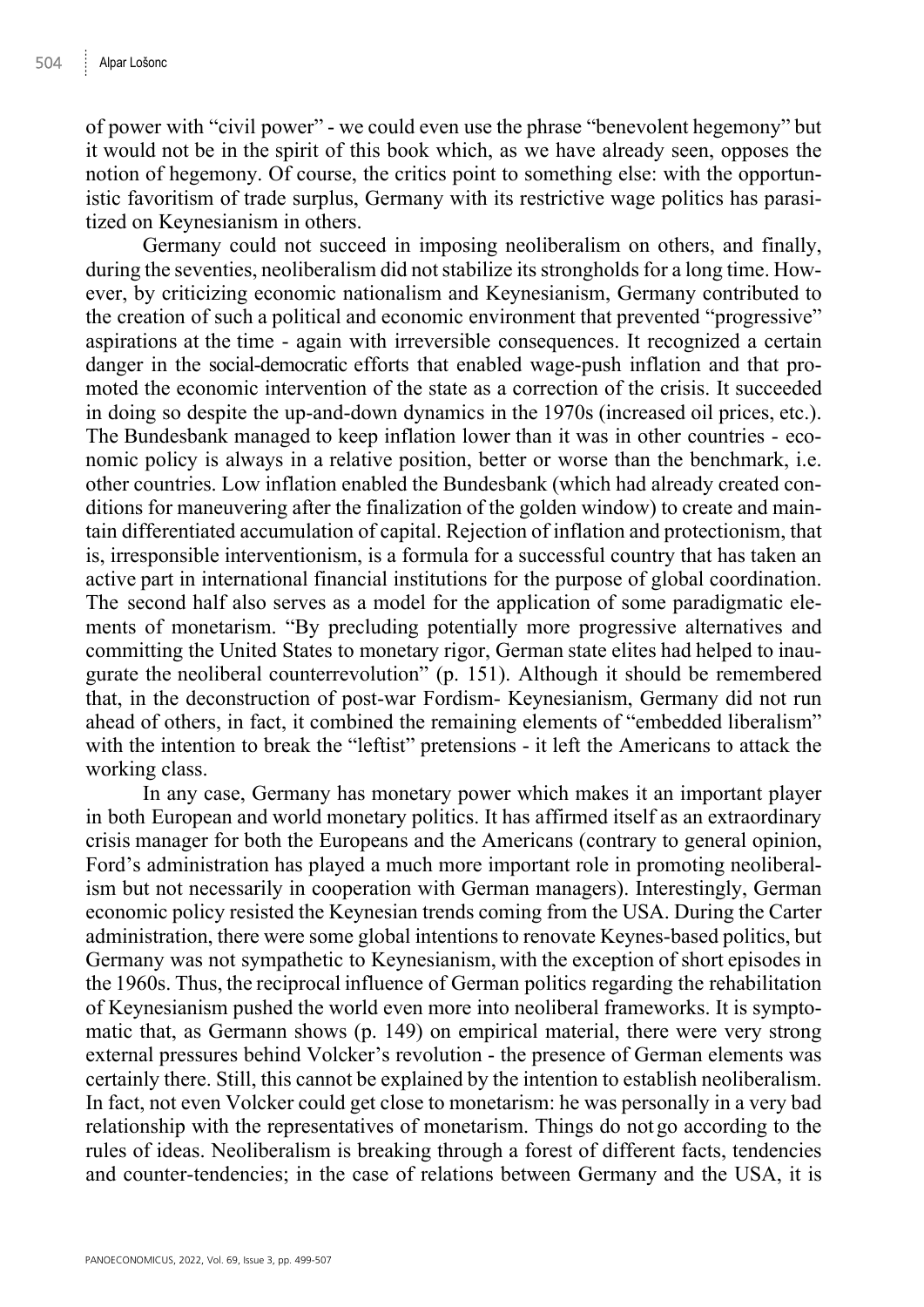of power with "civil power" - we could even use the phrase "benevolent hegemony" but it would not be in the spirit of this book which, as we have already seen, opposes the notion of hegemony. Of course, the critics point to something else: with the opportunistic favoritism of trade surplus, Germany with its restrictive wage politics has parasitized on Keynesianism in others.

Germany could not succeed in imposing neoliberalism on others, and finally, during the seventies, neoliberalism did not stabilize its strongholds for a long time. However, by criticizing economic nationalism and Keynesianism, Germany contributed to the creation of such a political and economic environment that prevented "progressive" aspirations at the time - again with irreversible consequences. It recognized a certain danger in the social-democratic efforts that enabled wage-push inflation and that promoted the economic intervention of the state as a correction of the crisis. It succeeded in doing so despite the up-and-down dynamics in the 1970s (increased oil prices, etc.). The Bundesbank managed to keep inflation lower than it was in other countries - economic policy is always in a relative position, better or worse than the benchmark, i.e. other countries. Low inflation enabled the Bundesbank (which had already created conditions for maneuvering after the finalization of the golden window) to create and maintain differentiated accumulation of capital. Rejection of inflation and protectionism, that is, irresponsible interventionism, is a formula for a successful country that has taken an active part in international financial institutions for the purpose of global coordination. The second half also serves as a model for the application of some paradigmatic elements of monetarism. "By precluding potentially more progressive alternatives and committing the United States to monetary rigor, German state elites had helped to inaugurate the neoliberal counterrevolution" (p. 151). Although it should be remembered that, in the deconstruction of post-war Fordism- Keynesianism, Germany did not run ahead of others, in fact, it combined the remaining elements of "embedded liberalism" with the intention to break the "leftist" pretensions - it left the Americans to attack the working class.

In any case, Germany has monetary power which makes it an important player in both European and world monetary politics. It has affirmed itself as an extraordinary crisis manager for both the Europeans and the Americans (contrary to general opinion, Ford's administration has played a much more important role in promoting neoliberalism but not necessarily in cooperation with German managers). Interestingly, German economic policy resisted the Keynesian trends coming from the USA. During the Carter administration, there were some global intentions to renovate Keynes-based politics, but Germany was not sympathetic to Keynesianism, with the exception of short episodes in the 1960s. Thus, the reciprocal influence of German politics regarding the rehabilitation of Keynesianism pushed the world even more into neoliberal frameworks. It is symptomatic that, as Germann shows (p. 149) on empirical material, there were very strong external pressures behind Volcker's revolution - the presence of German elements was certainly there. Still, this cannot be explained by the intention to establish neoliberalism. In fact, not even Volcker could get close to monetarism: he was personally in a very bad relationship with the representatives of monetarism. Things do not go according to the rules of ideas. Neoliberalism is breaking through a forest of different facts, tendencies and counter-tendencies; in the case of relations between Germany and the USA, it is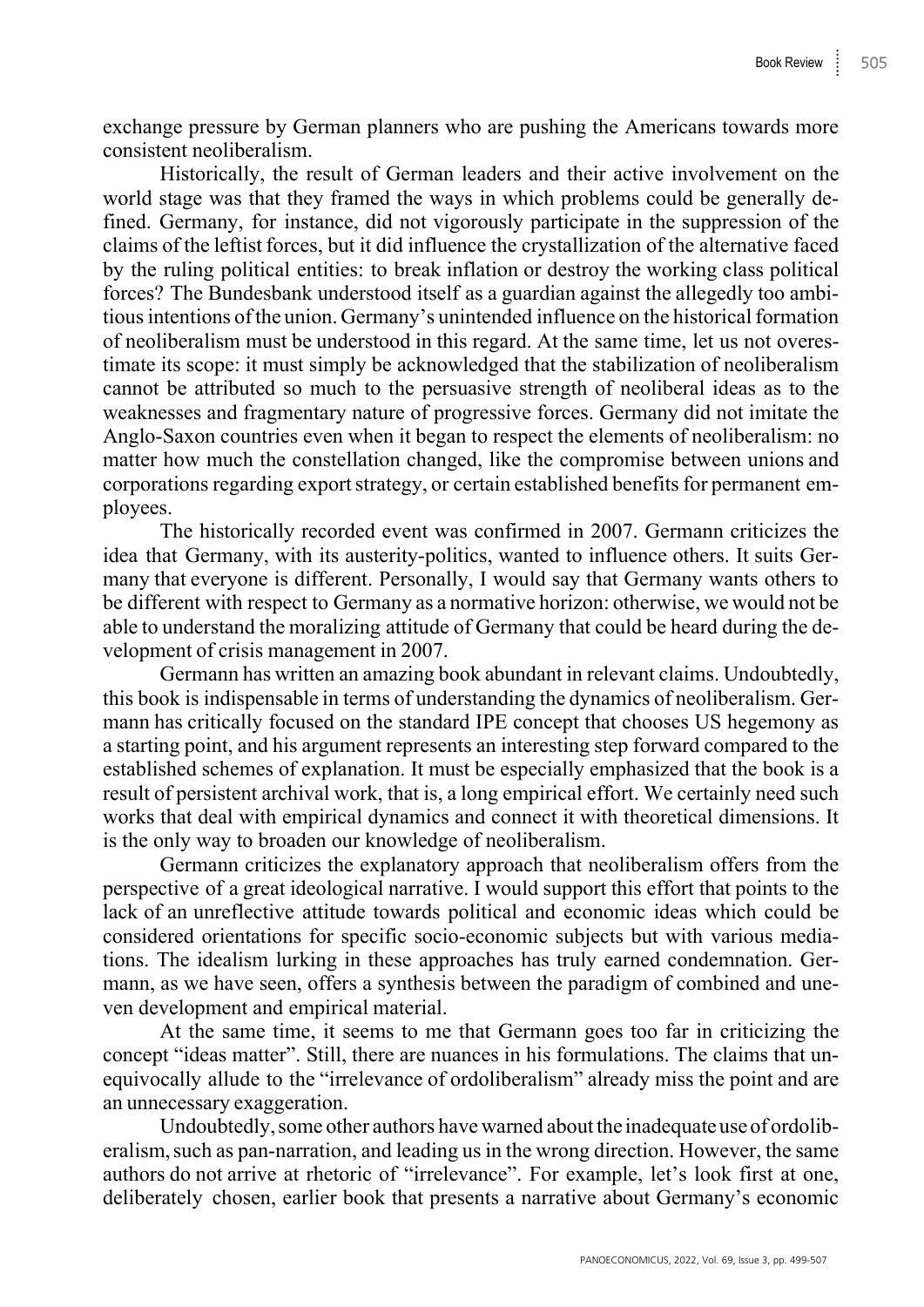exchange pressure by German planners who are pushing the Americans towards more consistent neoliberalism.

Historically, the result of German leaders and their active involvement on the world stage was that they framed the ways in which problems could be generally defined. Germany, for instance, did not vigorously participate in the suppression of the claims of the leftist forces, but it did influence the crystallization of the alternative faced by the ruling political entities: to break inflation or destroy the working class political forces? The Bundesbank understood itself as a guardian against the allegedly too ambitious intentions of the union. Germany's unintended influence on the historical formation of neoliberalism must be understood in this regard. At the same time, let us not overestimate its scope: it must simply be acknowledged that the stabilization of neoliberalism cannot be attributed so much to the persuasive strength of neoliberal ideas as to the weaknesses and fragmentary nature of progressive forces. Germany did not imitate the Anglo-Saxon countries even when it began to respect the elements of neoliberalism: no matter how much the constellation changed, like the compromise between unions and corporations regarding export strategy, or certain established benefits for permanent employees.

The historically recorded event was confirmed in 2007. Germann criticizes the idea that Germany, with its austerity-politics, wanted to influence others. It suits Germany that everyone is different. Personally, I would say that Germany wants others to be different with respect to Germany as a normative horizon: otherwise, we would not be able to understand the moralizing attitude of Germany that could be heard during the development of crisis management in 2007.

Germann has written an amazing book abundant in relevant claims. Undoubtedly, this book is indispensable in terms of understanding the dynamics of neoliberalism. Germann has critically focused on the standard IPE concept that chooses US hegemony as a starting point, and his argument represents an interesting step forward compared to the established schemes of explanation. It must be especially emphasized that the book is a result of persistent archival work, that is, a long empirical effort. We certainly need such works that deal with empirical dynamics and connect it with theoretical dimensions. It is the only way to broaden our knowledge of neoliberalism.

Germann criticizes the explanatory approach that neoliberalism offers from the perspective of a great ideological narrative. I would support this effort that points to the lack of an unreflective attitude towards political and economic ideas which could be considered orientations for specific socio-economic subjects but with various mediations. The idealism lurking in these approaches has truly earned condemnation. Germann, as we have seen, offers a synthesis between the paradigm of combined and uneven development and empirical material.

At the same time, it seems to me that Germann goes too far in criticizing the concept "ideas matter". Still, there are nuances in his formulations. The claims that unequivocally allude to the "irrelevance of ordoliberalism" already miss the point and are an unnecessary exaggeration.

Undoubtedly, some other authors have warned about the inadequate use of ordoliberalism, such as pan-narration, and leading us in the wrong direction. However, the same authors do not arrive at rhetoric of "irrelevance". For example, let's look first at one, deliberately chosen, earlier book that presents a narrative about Germany's economic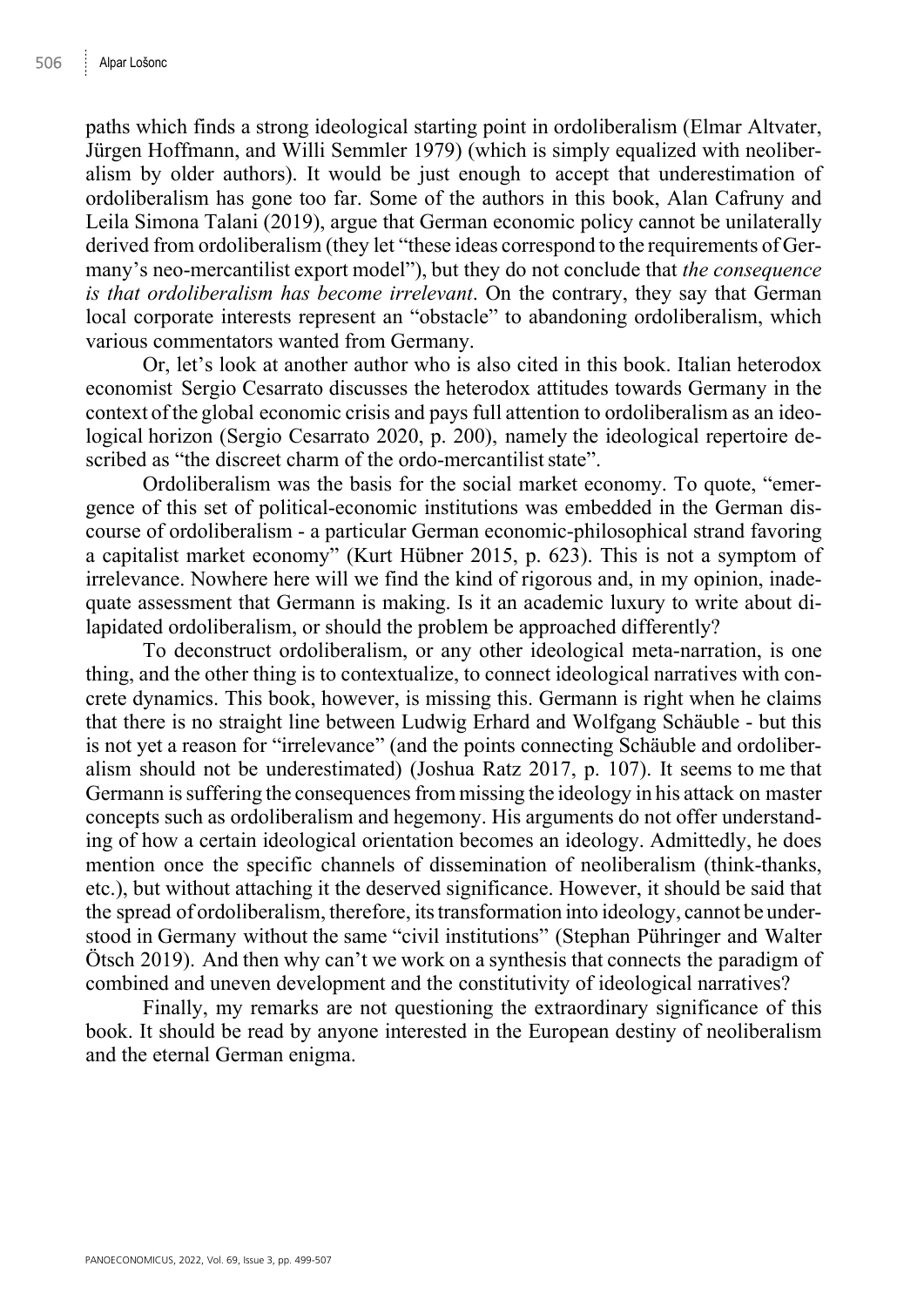paths which finds a strong ideological starting point in ordoliberalism (Elmar Altvater, Jürgen Hoffmann, and Willi Semmler 1979) (which is simply equalized with neoliberalism by older authors). It would be just enough to accept that underestimation of ordoliberalism has gone too far. Some of the authors in this book, Alan Cafruny and Leila Simona Talani (2019), argue that German economic policy cannot be unilaterally derived from ordoliberalism (they let "these ideas correspond to the requirements of Germany's neo-mercantilist export model"), but they do not conclude that *the consequence is that ordoliberalism has become irrelevant*. On the contrary, they say that German local corporate interests represent an "obstacle" to abandoning ordoliberalism, which various commentators wanted from Germany.

Or, let's look at another author who is also cited in this book. Italian heterodox economist Sergio Cesarrato discusses the heterodox attitudes towards Germany in the context of the global economic crisis and pays full attention to ordoliberalism as an ideological horizon (Sergio Cesarrato 2020, p. 200), namely the ideological repertoire described as "the discreet charm of the ordo-mercantilist state".

Ordoliberalism was the basis for the social market economy. To quote, "emergence of this set of political-economic institutions was embedded in the German discourse of ordoliberalism - a particular German economic-philosophical strand favoring a capitalist market economy" (Kurt Hübner 2015, p. 623). This is not a symptom of irrelevance. Nowhere here will we find the kind of rigorous and, in my opinion, inadequate assessment that Germann is making. Is it an academic luxury to write about dilapidated ordoliberalism, or should the problem be approached differently?

To deconstruct ordoliberalism, or any other ideological meta-narration, is one thing, and the other thing is to contextualize, to connect ideological narratives with concrete dynamics. This book, however, is missing this. Germann is right when he claims that there is no straight line between Ludwig Erhard and Wolfgang Schäuble - but this is not yet a reason for "irrelevance" (and the points connecting Schäuble and ordoliberalism should not be underestimated) (Joshua Ratz 2017, p. 107). It seems to me that Germann is suffering the consequences from missing the ideology in his attack on master concepts such as ordoliberalism and hegemony. His arguments do not offer understanding of how a certain ideological orientation becomes an ideology. Admittedly, he does mention once the specific channels of dissemination of neoliberalism (think-thanks, etc.), but without attaching it the deserved significance. However, it should be said that the spread of ordoliberalism, therefore, its transformation into ideology, cannot be understood in Germany without the same "civil institutions" (Stephan Pühringer and Walter Ötsch 2019). And then why can't we work on a synthesis that connects the paradigm of combined and uneven development and the constitutivity of ideological narratives?

Finally, my remarks are not questioning the extraordinary significance of this book. It should be read by anyone interested in the European destiny of neoliberalism and the eternal German enigma.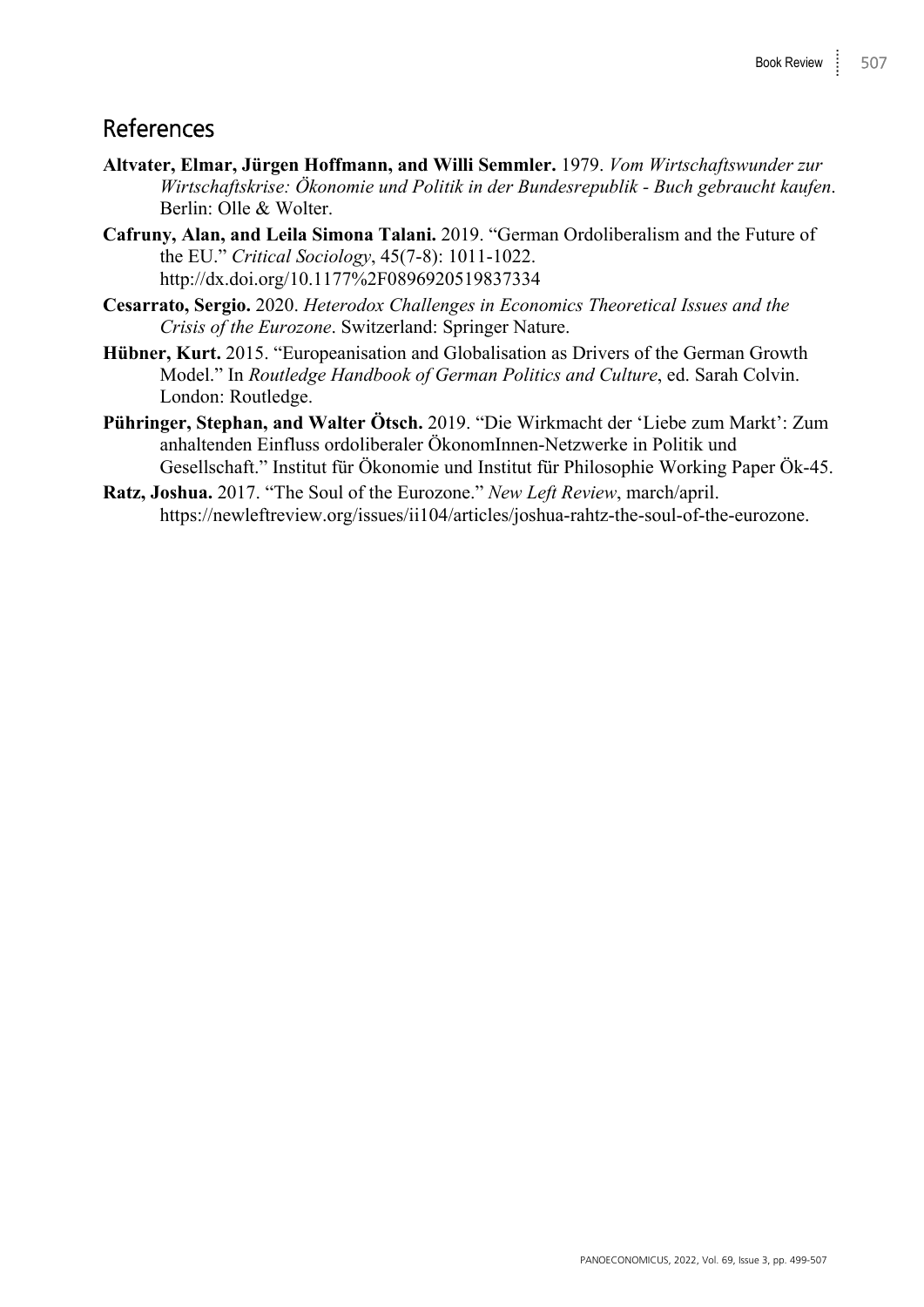## References

- **Altvater, Elmar, Jürgen Hoffmann, and Willi Semmler.** 1979. *Vom Wirtschaftswunder zur Wirtschaftskrise: Ökonomie und Politik in der Bundesrepublik - Buch gebraucht kaufen*. Berlin: Olle & Wolter.
- **Cafruny, Alan, and Leila Simona Talani.** 2019. "German Ordoliberalism and the Future of the EU." *Critical Sociology*, 45(7-8): 1011-1022. http://dx.doi.org/10.1177%2F0896920519837334
- **Cesarrato, Sergio.** 2020. *Heterodox Challenges in Economics Theoretical Issues and the Crisis of the Eurozone*. Switzerland: Springer Nature.
- **Hübner, Kurt.** 2015. "Europeanisation and Globalisation as Drivers of the German Growth Model." In *Routledge Handbook of German Politics and Culture*, ed. Sarah Colvin. London: Routledge.
- **Pühringer, Stephan, and Walter Ötsch.** 2019. "Die Wirkmacht der 'Liebe zum Markt': Zum anhaltenden Einfluss ordoliberaler ÖkonomInnen-Netzwerke in Politik und Gesellschaft." Institut für Ökonomie und Institut für Philosophie Working Paper Ök-45.
- **Ratz, Joshua.** 2017. "The Soul of the Eurozone." *New Left Review*, march/april. https://newleftreview.org/issues/ii104/articles/joshua-rahtz-the-soul-of-the-eurozone.